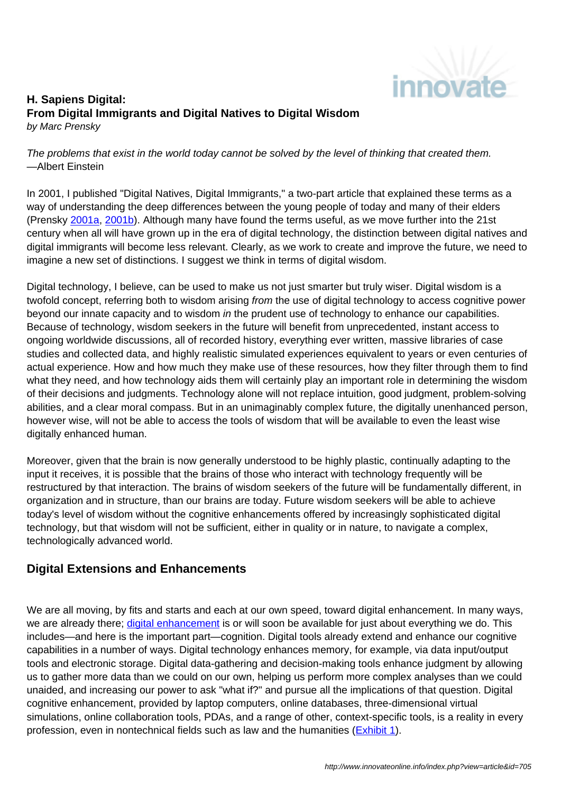

#### **H. Sapiens Digital: From Digital Immigrants and Digital Natives to Digital Wisdom** by Marc Prensky

### The problems that exist in the world today cannot be solved by the level of thinking that created them. —Albert Einstein

In 2001, I published "Digital Natives, Digital Immigrants," a two-part article that explained these terms as a way of understanding the deep differences between the young people of today and many of their elders (Prensky [2001a](http://www.twitchspeed.com/site/Prensky%20-%20Digital%20Natives,%20Digital%20Immigrants%20-%20Part1.htm), [2001b](http://www.twitchspeed.com/site/Prensky%20-%20Digital%20Natives,%20Digital%20Immigrants%20-%20Part2.htm)). Although many have found the terms useful, as we move further into the 21st century when all will have grown up in the era of digital technology, the distinction between digital natives and digital immigrants will become less relevant. Clearly, as we work to create and improve the future, we need to imagine a new set of distinctions. I suggest we think in terms of digital wisdom.

Digital technology, I believe, can be used to make us not just smarter but truly wiser. Digital wisdom is a twofold concept, referring both to wisdom arising from the use of digital technology to access cognitive power beyond our innate capacity and to wisdom in the prudent use of technology to enhance our capabilities. Because of technology, wisdom seekers in the future will benefit from unprecedented, instant access to ongoing worldwide discussions, all of recorded history, everything ever written, massive libraries of case studies and collected data, and highly realistic simulated experiences equivalent to years or even centuries of actual experience. How and how much they make use of these resources, how they filter through them to find what they need, and how technology aids them will certainly play an important role in determining the wisdom of their decisions and judgments. Technology alone will not replace intuition, good judgment, problem-solving abilities, and a clear moral compass. But in an unimaginably complex future, the digitally unenhanced person, however wise, will not be able to access the tools of wisdom that will be available to even the least wise digitally enhanced human.

Moreover, given that the brain is now generally understood to be highly plastic, continually adapting to the input it receives, it is possible that the brains of those who interact with technology frequently will be restructured by that interaction. The brains of wisdom seekers of the future will be fundamentally different, in organization and in structure, than our brains are today. Future wisdom seekers will be able to achieve today's level of wisdom without the cognitive enhancements offered by increasingly sophisticated digital technology, but that wisdom will not be sufficient, either in quality or in nature, to navigate a complex, technologically advanced world.

### **Digital Extensions and Enhancements**

We are all moving, by fits and starts and each at our own speed, toward digital enhancement. In many ways, we are already there; [digital enhancement](http://www.innovateonline.info/extra.php?id=3218) is or will soon be available for just about everything we do. This includes—and here is the important part—cognition. Digital tools already extend and enhance our cognitive capabilities in a number of ways. Digital technology enhances memory, for example, via data input/output tools and electronic storage. Digital data-gathering and decision-making tools enhance judgment by allowing us to gather more data than we could on our own, helping us perform more complex analyses than we could unaided, and increasing our power to ask "what if?" and pursue all the implications of that question. Digital cognitive enhancement, provided by laptop computers, online databases, three-dimensional virtual simulations, online collaboration tools, PDAs, and a range of other, context-specific tools, is a reality in every profession, even in nontechnical fields such as law and the humanities [\(Exhibit 1\)](http://www.innovateonline.info/extra.php?id=3219).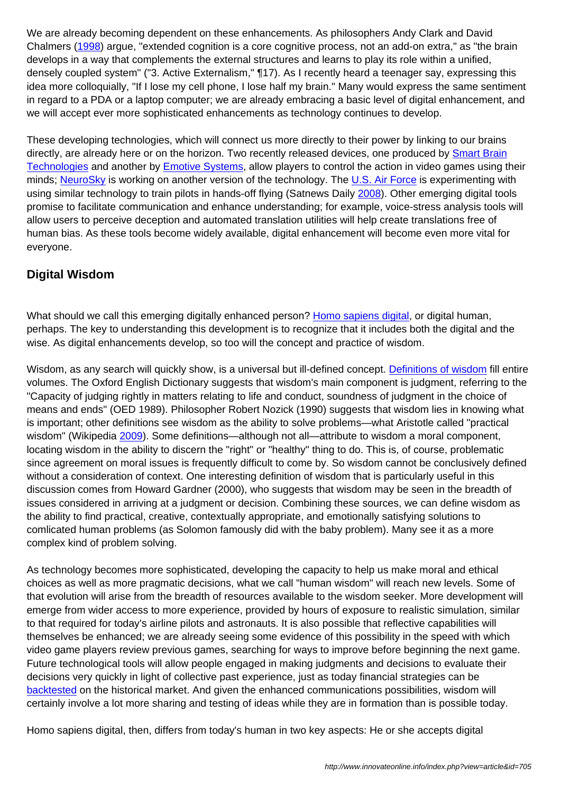We are already becoming dependent on these enhancements. As philosophers Andy Clark and David Chalmers [\(1998\)](http://www.webcitation.org/5eBEF2Ncm) argue, "extended cognition is a core cognitive process, not an add-on extra," as "the brain develops in a way that complements the external structures and learns to play its role within a unified, densely coupled system" ("3. Active Externalism," 17). As I recently heard a teenager say, expressing this idea more colloquially, "If I lose my cell phone, I lose half my brain." Many would express the same sentiment in regard to a PDA or a laptop computer; we are already embracing a basic level of digital enhancement, and we will accept ever more sophisticated enhancements as technology continues to develop.

These developing technologies, which will connect us more directly to their power by linking to our brains directly, are already here or on the horizon. Two recently released devices, one produced by [Smart Brain](http://www.smartbraintech.com/) [Technologies](http://www.smartbraintech.com/) and another by **Emotive Systems**, allow players to control the action in video games using their minds; [NeuroSky](http://www.neurosky.com/) is working on another version of the technology. The [U.S. Air Force](http://www.airforce.com) is experimenting with using similar technology to train pilots in hands-off flying (Satnews Daily [2008](http://www.webcitation.org/5eBFSBrSt)). Other emerging digital tools promise to facilitate communication and enhance understanding; for example, voice-stress analysis tools will allow users to perceive deception and automated translation utilities will help create translations free of human bias. As these tools become widely available, digital enhancement will become even more vital for everyone.

# **Digital Wisdom**

What should we call this emerging digitally enhanced person? [Homo sapiens digital](http://www.innovateonline.info/extra.php?id=3244), or digital human, perhaps. The key to understanding this development is to recognize that it includes both the digital and the wise. As digital enhancements develop, so too will the concept and practice of wisdom.

Wisdom, as any search will quickly show, is a universal but ill-defined concept. [Definitions of wisdom](http://wisdomcenteredlife.org/definitions.aspx) fill entire volumes. The Oxford English Dictionary suggests that wisdom's main component is judgment, referring to the "Capacity of judging rightly in matters relating to life and conduct, soundness of judgment in the choice of means and ends" (OED 1989). Philosopher Robert Nozick (1990) suggests that wisdom lies in knowing what is important; other definitions see wisdom as the ability to solve problems—what Aristotle called "practical wisdom" (Wikipedia [2009](http://www.webcitation.org/5e6jXGyZN)). Some definitions—although not all—attribute to wisdom a moral component, locating wisdom in the ability to discern the "right" or "healthy" thing to do. This is, of course, problematic since agreement on moral issues is frequently difficult to come by. So wisdom cannot be conclusively defined without a consideration of context. One interesting definition of wisdom that is particularly useful in this discussion comes from Howard Gardner (2000), who suggests that wisdom may be seen in the breadth of issues considered in arriving at a judgment or decision. Combining these sources, we can define wisdom as the ability to find practical, creative, contextually appropriate, and emotionally satisfying solutions to comlicated human problems (as Solomon famously did with the baby problem). Many see it as a more complex kind of problem solving.

As technology becomes more sophisticated, developing the capacity to help us make moral and ethical choices as well as more pragmatic decisions, what we call "human wisdom" will reach new levels. Some of that evolution will arise from the breadth of resources available to the wisdom seeker. More development will emerge from wider access to more experience, provided by hours of exposure to realistic simulation, similar to that required for today's airline pilots and astronauts. It is also possible that reflective capabilities will themselves be enhanced; we are already seeing some evidence of this possibility in the speed with which video game players review previous games, searching for ways to improve before beginning the next game. Future technological tools will allow people engaged in making judgments and decisions to evaluate their decisions very quickly in light of collective past experience, just as today financial strategies can be [backtested](http://en.wikipedia.org/wiki/Backtesting) on the historical market. And given the enhanced communications possibilities, wisdom will certainly involve a lot more sharing and testing of ideas while they are in formation than is possible today.

Homo sapiens digital, then, differs from today's human in two key aspects: He or she accepts digital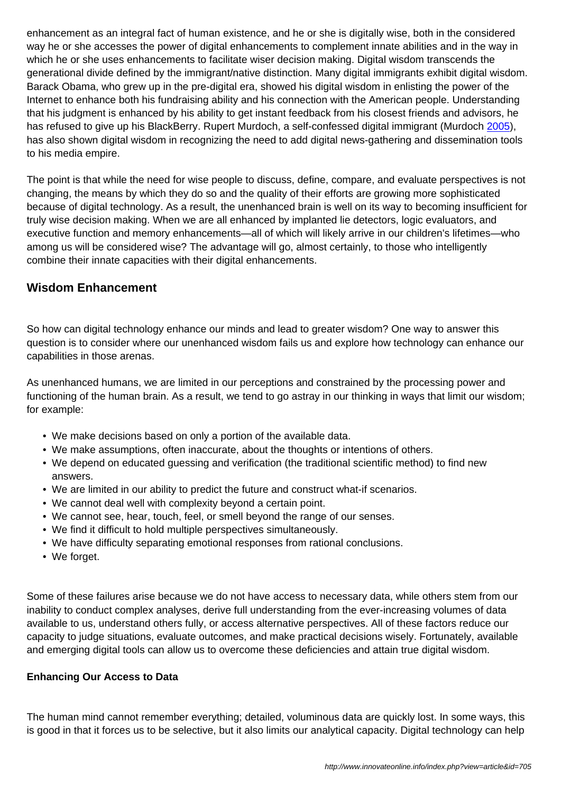enhancement as an integral fact of human existence, and he or she is digitally wise, both in the considered way he or she accesses the power of digital enhancements to complement innate abilities and in the way in which he or she uses enhancements to facilitate wiser decision making. Digital wisdom transcends the generational divide defined by the immigrant/native distinction. Many digital immigrants exhibit digital wisdom. Barack Obama, who grew up in the pre-digital era, showed his digital wisdom in enlisting the power of the Internet to enhance both his fundraising ability and his connection with the American people. Understanding that his judgment is enhanced by his ability to get instant feedback from his closest friends and advisors, he has refused to give up his BlackBerry. Rupert Murdoch, a self-confessed digital immigrant (Murdoch [2005](http://www.webcitation.org/5e6jPyqgB)), has also shown digital wisdom in recognizing the need to add digital news-gathering and dissemination tools to his media empire.

The point is that while the need for wise people to discuss, define, compare, and evaluate perspectives is not changing, the means by which they do so and the quality of their efforts are growing more sophisticated because of digital technology. As a result, the unenhanced brain is well on its way to becoming insufficient for truly wise decision making. When we are all enhanced by implanted lie detectors, logic evaluators, and executive function and memory enhancements—all of which will likely arrive in our children's lifetimes—who among us will be considered wise? The advantage will go, almost certainly, to those who intelligently combine their innate capacities with their digital enhancements.

### **Wisdom Enhancement**

So how can digital technology enhance our minds and lead to greater wisdom? One way to answer this question is to consider where our unenhanced wisdom fails us and explore how technology can enhance our capabilities in those arenas.

As unenhanced humans, we are limited in our perceptions and constrained by the processing power and functioning of the human brain. As a result, we tend to go astray in our thinking in ways that limit our wisdom; for example:

- We make decisions based on only a portion of the available data.
- We make assumptions, often inaccurate, about the thoughts or intentions of others.
- We depend on educated guessing and verification (the traditional scientific method) to find new answers.
- We are limited in our ability to predict the future and construct what-if scenarios.
- We cannot deal well with complexity beyond a certain point.
- We cannot see, hear, touch, feel, or smell beyond the range of our senses.
- We find it difficult to hold multiple perspectives simultaneously.
- We have difficulty separating emotional responses from rational conclusions.
- We forget.

Some of these failures arise because we do not have access to necessary data, while others stem from our inability to conduct complex analyses, derive full understanding from the ever-increasing volumes of data available to us, understand others fully, or access alternative perspectives. All of these factors reduce our capacity to judge situations, evaluate outcomes, and make practical decisions wisely. Fortunately, available and emerging digital tools can allow us to overcome these deficiencies and attain true digital wisdom.

### **Enhancing Our Access to Data**

The human mind cannot remember everything; detailed, voluminous data are quickly lost. In some ways, this is good in that it forces us to be selective, but it also limits our analytical capacity. Digital technology can help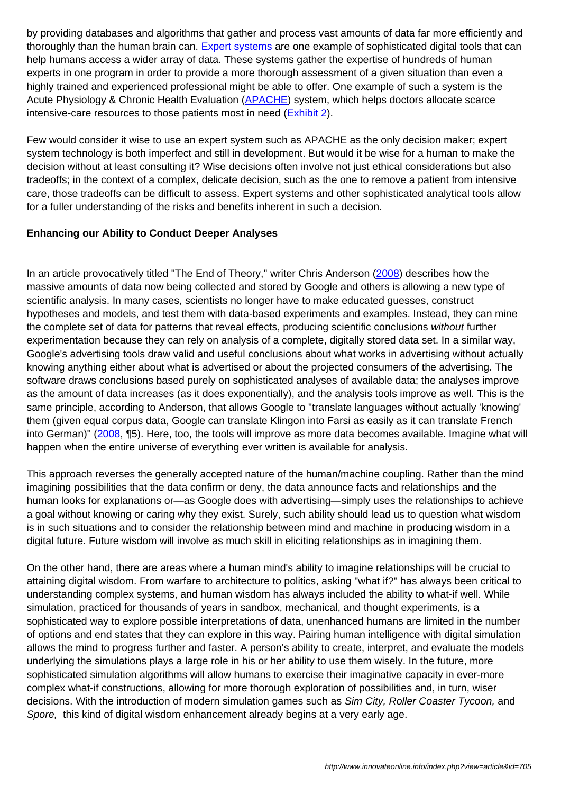by providing databases and algorithms that gather and process vast amounts of data far more efficiently and thoroughly than the human brain can. [Expert systems](http://www.pcai.com/web/ai_info/expert_systems.html) are one example of sophisticated digital tools that can help humans access a wider array of data. These systems gather the expertise of hundreds of human experts in one program in order to provide a more thorough assessment of a given situation than even a highly trained and experienced professional might be able to offer. One example of such a system is the Acute Physiology & Chronic Health Evaluation [\(APACHE](http://www.icumedicus.com/icu_scores/apache.php)) system, which helps doctors allocate scarce intensive-care resources to those patients most in need ([Exhibit 2\)](http://www.innovateonline.info/extra.php?id=3220).

Few would consider it wise to use an expert system such as APACHE as the only decision maker; expert system technology is both imperfect and still in development. But would it be wise for a human to make the decision without at least consulting it? Wise decisions often involve not just ethical considerations but also tradeoffs; in the context of a complex, delicate decision, such as the one to remove a patient from intensive care, those tradeoffs can be difficult to assess. Expert systems and other sophisticated analytical tools allow for a fuller understanding of the risks and benefits inherent in such a decision.

### **Enhancing our Ability to Conduct Deeper Analyses**

In an article provocatively titled "The End of Theory," writer Chris Anderson [\(2008\)](http://www.webcitation.org/5eBIPrc60) describes how the massive amounts of data now being collected and stored by Google and others is allowing a new type of scientific analysis. In many cases, scientists no longer have to make educated guesses, construct hypotheses and models, and test them with data-based experiments and examples. Instead, they can mine the complete set of data for patterns that reveal effects, producing scientific conclusions without further experimentation because they can rely on analysis of a complete, digitally stored data set. In a similar way, Google's advertising tools draw valid and useful conclusions about what works in advertising without actually knowing anything either about what is advertised or about the projected consumers of the advertising. The software draws conclusions based purely on sophisticated analyses of available data; the analyses improve as the amount of data increases (as it does exponentially), and the analysis tools improve as well. This is the same principle, according to Anderson, that allows Google to "translate languages without actually 'knowing' them (given equal corpus data, Google can translate Klingon into Farsi as easily as it can translate French into German)" [\(2008,](http://www.webcitation.org/5eBIPrc60) ¶5). Here, too, the tools will improve as more data becomes available. Imagine what will happen when the entire universe of everything ever written is available for analysis.

This approach reverses the generally accepted nature of the human/machine coupling. Rather than the mind imagining possibilities that the data confirm or deny, the data announce facts and relationships and the human looks for explanations or—as Google does with advertising—simply uses the relationships to achieve a goal without knowing or caring why they exist. Surely, such ability should lead us to question what wisdom is in such situations and to consider the relationship between mind and machine in producing wisdom in a digital future. Future wisdom will involve as much skill in eliciting relationships as in imagining them.

On the other hand, there are areas where a human mind's ability to imagine relationships will be crucial to attaining digital wisdom. From warfare to architecture to politics, asking "what if?" has always been critical to understanding complex systems, and human wisdom has always included the ability to what-if well. While simulation, practiced for thousands of years in sandbox, mechanical, and thought experiments, is a sophisticated way to explore possible interpretations of data, unenhanced humans are limited in the number of options and end states that they can explore in this way. Pairing human intelligence with digital simulation allows the mind to progress further and faster. A person's ability to create, interpret, and evaluate the models underlying the simulations plays a large role in his or her ability to use them wisely. In the future, more sophisticated simulation algorithms will allow humans to exercise their imaginative capacity in ever-more complex what-if constructions, allowing for more thorough exploration of possibilities and, in turn, wiser decisions. With the introduction of modern simulation games such as Sim City, Roller Coaster Tycoon, and Spore, this kind of digital wisdom enhancement already begins at a very early age.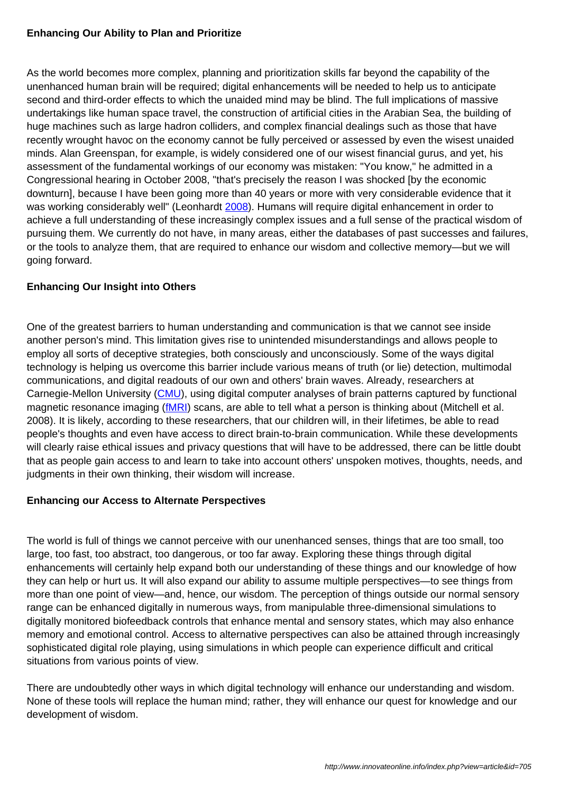#### **Enhancing Our Ability to Plan and Prioritize**

As the world becomes more complex, planning and prioritization skills far beyond the capability of the unenhanced human brain will be required; digital enhancements will be needed to help us to anticipate second and third-order effects to which the unaided mind may be blind. The full implications of massive undertakings like human space travel, the construction of artificial cities in the Arabian Sea, the building of huge machines such as large hadron colliders, and complex financial dealings such as those that have recently wrought havoc on the economy cannot be fully perceived or assessed by even the wisest unaided minds. Alan Greenspan, for example, is widely considered one of our wisest financial gurus, and yet, his assessment of the fundamental workings of our economy was mistaken: "You know," he admitted in a Congressional hearing in October 2008, "that's precisely the reason I was shocked [by the economic downturn], because I have been going more than 40 years or more with very considerable evidence that it was working considerably well" (Leonhardt [2008](http://www.webcitation.org/5eBJTVMJi)). Humans will require digital enhancement in order to achieve a full understanding of these increasingly complex issues and a full sense of the practical wisdom of pursuing them. We currently do not have, in many areas, either the databases of past successes and failures, or the tools to analyze them, that are required to enhance our wisdom and collective memory—but we will going forward.

### **Enhancing Our Insight into Others**

One of the greatest barriers to human understanding and communication is that we cannot see inside another person's mind. This limitation gives rise to unintended misunderstandings and allows people to employ all sorts of deceptive strategies, both consciously and unconsciously. Some of the ways digital technology is helping us overcome this barrier include various means of truth (or lie) detection, multimodal communications, and digital readouts of our own and others' brain waves. Already, researchers at Carnegie-Mellon University [\(CMU](http://www.cmu.edu/index.shtml)), using digital computer analyses of brain patterns captured by functional magnetic resonance imaging ([fMRI\)](http://en.wikipedia.org/wiki/Functional_magnetic_resonance_imaging) scans, are able to tell what a person is thinking about (Mitchell et al. 2008). It is likely, according to these researchers, that our children will, in their lifetimes, be able to read people's thoughts and even have access to direct brain-to-brain communication. While these developments will clearly raise ethical issues and privacy questions that will have to be addressed, there can be little doubt that as people gain access to and learn to take into account others' unspoken motives, thoughts, needs, and judgments in their own thinking, their wisdom will increase.

### **Enhancing our Access to Alternate Perspectives**

The world is full of things we cannot perceive with our unenhanced senses, things that are too small, too large, too fast, too abstract, too dangerous, or too far away. Exploring these things through digital enhancements will certainly help expand both our understanding of these things and our knowledge of how they can help or hurt us. It will also expand our ability to assume multiple perspectives—to see things from more than one point of view—and, hence, our wisdom. The perception of things outside our normal sensory range can be enhanced digitally in numerous ways, from manipulable three-dimensional simulations to digitally monitored biofeedback controls that enhance mental and sensory states, which may also enhance memory and emotional control. Access to alternative perspectives can also be attained through increasingly sophisticated digital role playing, using simulations in which people can experience difficult and critical situations from various points of view.

There are undoubtedly other ways in which digital technology will enhance our understanding and wisdom. None of these tools will replace the human mind; rather, they will enhance our quest for knowledge and our development of wisdom.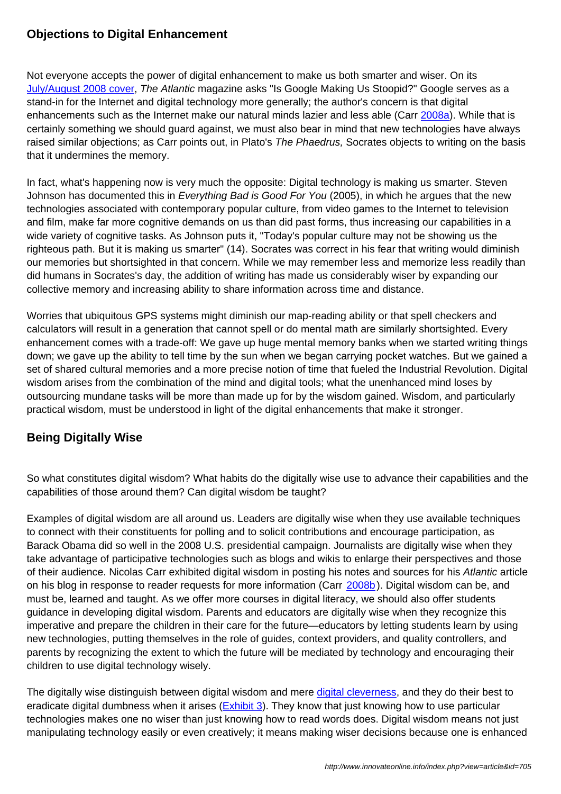## **Objections to Digital Enhancement**

Not everyone accepts the power of digital enhancement to make us both smarter and wiser. On its [July/August 2008 cover,](http://www.innovateonline.info/extra.php?id=3243) The Atlantic magazine asks "Is Google Making Us Stoopid?" Google serves as a stand-in for the Internet and digital technology more generally; the author's concern is that digital enhancements such as the Internet make our natural minds lazier and less able (Carr [2008a](http://www.webcitation.org/5eBJxMMM3)). While that is certainly something we should guard against, we must also bear in mind that new technologies have always raised similar objections; as Carr points out, in Plato's The Phaedrus, Socrates objects to writing on the basis that it undermines the memory.

In fact, what's happening now is very much the opposite: Digital technology is making us smarter. Steven Johnson has documented this in Everything Bad is Good For You (2005), in which he argues that the new technologies associated with contemporary popular culture, from video games to the Internet to television and film, make far more cognitive demands on us than did past forms, thus increasing our capabilities in a wide variety of cognitive tasks. As Johnson puts it, "Today's popular culture may not be showing us the righteous path. But it is making us smarter" (14). Socrates was correct in his fear that writing would diminish our memories but shortsighted in that concern. While we may remember less and memorize less readily than did humans in Socrates's day, the addition of writing has made us considerably wiser by expanding our collective memory and increasing ability to share information across time and distance.

Worries that ubiquitous GPS systems might diminish our map-reading ability or that spell checkers and calculators will result in a generation that cannot spell or do mental math are similarly shortsighted. Every enhancement comes with a trade-off: We gave up huge mental memory banks when we started writing things down; we gave up the ability to tell time by the sun when we began carrying pocket watches. But we gained a set of shared cultural memories and a more precise notion of time that fueled the Industrial Revolution. Digital wisdom arises from the combination of the mind and digital tools; what the unenhanced mind loses by outsourcing mundane tasks will be more than made up for by the wisdom gained. Wisdom, and particularly practical wisdom, must be understood in light of the digital enhancements that make it stronger.

# **Being Digitally Wise**

So what constitutes digital wisdom? What habits do the digitally wise use to advance their capabilities and the capabilities of those around them? Can digital wisdom be taught?

Examples of digital wisdom are all around us. Leaders are digitally wise when they use available techniques to connect with their constituents for polling and to solicit contributions and encourage participation, as Barack Obama did so well in the 2008 U.S. presidential campaign. Journalists are digitally wise when they take advantage of participative technologies such as blogs and wikis to enlarge their perspectives and those of their audience. Nicolas Carr exhibited digital wisdom in posting his notes and sources for his Atlantic article on his blog in response to reader requests for more information (Carr [2008b](http://www.roughtype.com/archives/2008/08/is_google_makin.php)). Digital wisdom can be, and must be, learned and taught. As we offer more courses in digital literacy, we should also offer students guidance in developing digital wisdom. Parents and educators are digitally wise when they recognize this imperative and prepare the children in their care for the future—educators by letting students learn by using new technologies, putting themselves in the role of guides, context providers, and quality controllers, and parents by recognizing the extent to which the future will be mediated by technology and encouraging their children to use digital technology wisely.

The digitally wise distinguish between digital wisdom and mere [digital cleverness,](http://www.innovateonline.info/extra.php?id=3221) and they do their best to eradicate digital dumbness when it arises [\(Exhibit 3](http://www.innovateonline.info/extra.php?id=3222)). They know that just knowing how to use particular technologies makes one no wiser than just knowing how to read words does. Digital wisdom means not just manipulating technology easily or even creatively; it means making wiser decisions because one is enhanced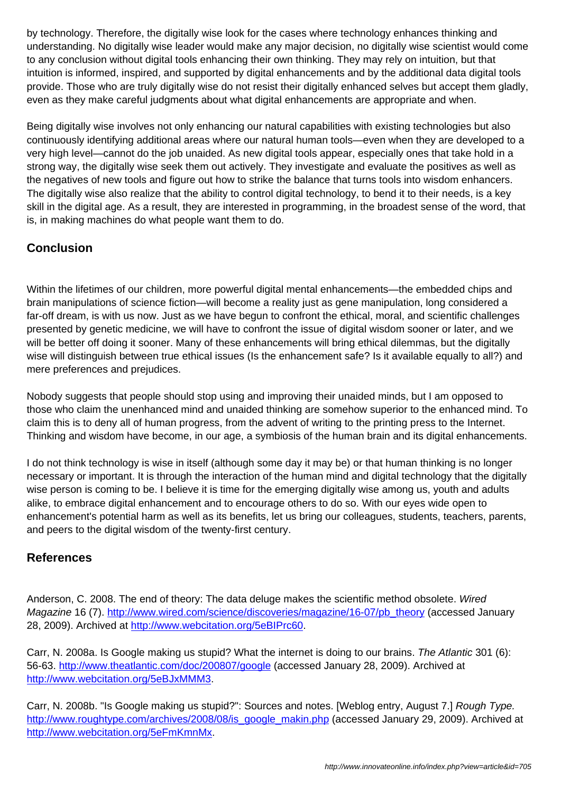by technology. Therefore, the digitally wise look for the cases where technology enhances thinking and understanding. No digitally wise leader would make any major decision, no digitally wise scientist would come to any conclusion without digital tools enhancing their own thinking. They may rely on intuition, but that intuition is informed, inspired, and supported by digital enhancements and by the additional data digital tools provide. Those who are truly digitally wise do not resist their digitally enhanced selves but accept them gladly, even as they make careful judgments about what digital enhancements are appropriate and when.

Being digitally wise involves not only enhancing our natural capabilities with existing technologies but also continuously identifying additional areas where our natural human tools—even when they are developed to a very high level—cannot do the job unaided. As new digital tools appear, especially ones that take hold in a strong way, the digitally wise seek them out actively. They investigate and evaluate the positives as well as the negatives of new tools and figure out how to strike the balance that turns tools into wisdom enhancers. The digitally wise also realize that the ability to control digital technology, to bend it to their needs, is a key skill in the digital age. As a result, they are interested in programming, in the broadest sense of the word, that is, in making machines do what people want them to do.

# **Conclusion**

Within the lifetimes of our children, more powerful digital mental enhancements—the embedded chips and brain manipulations of science fiction—will become a reality just as gene manipulation, long considered a far-off dream, is with us now. Just as we have begun to confront the ethical, moral, and scientific challenges presented by genetic medicine, we will have to confront the issue of digital wisdom sooner or later, and we will be better off doing it sooner. Many of these enhancements will bring ethical dilemmas, but the digitally wise will distinguish between true ethical issues (Is the enhancement safe? Is it available equally to all?) and mere preferences and prejudices.

Nobody suggests that people should stop using and improving their unaided minds, but I am opposed to those who claim the unenhanced mind and unaided thinking are somehow superior to the enhanced mind. To claim this is to deny all of human progress, from the advent of writing to the printing press to the Internet. Thinking and wisdom have become, in our age, a symbiosis of the human brain and its digital enhancements.

I do not think technology is wise in itself (although some day it may be) or that human thinking is no longer necessary or important. It is through the interaction of the human mind and digital technology that the digitally wise person is coming to be. I believe it is time for the emerging digitally wise among us, youth and adults alike, to embrace digital enhancement and to encourage others to do so. With our eyes wide open to enhancement's potential harm as well as its benefits, let us bring our colleagues, students, teachers, parents, and peers to the digital wisdom of the twenty-first century.

## **References**

Anderson, C. 2008. The end of theory: The data deluge makes the scientific method obsolete. Wired Magazine 16 (7). [http://www.wired.com/science/discoveries/magazine/16-07/pb\\_theory](http://www.wired.com/science/discoveries/magazine/16-07/pb_theory) (accessed January 28, 2009). Archived at [http://www.webcitation.org/5eBIPrc60.](http://www.webcitation.org/5eBIPrc60)

Carr, N. 2008a. Is Google making us stupid? What the internet is doing to our brains. The Atlantic 301 (6): 56-63. <http://www.theatlantic.com/doc/200807/google>(accessed January 28, 2009). Archived at [http://www.webcitation.org/5eBJxMMM3.](http://www.webcitation.org/5eBJxMMM3)

Carr, N. 2008b. "Is Google making us stupid?": Sources and notes. [Weblog entry, August 7.] Rough Type. [http://www.roughtype.com/archives/2008/08/is\\_google\\_makin.php](http://www.roughtype.com/archives/2008/08/is_google_makin.php) (accessed January 29, 2009). Archived at <http://www.webcitation.org/5eFmKmnMx>.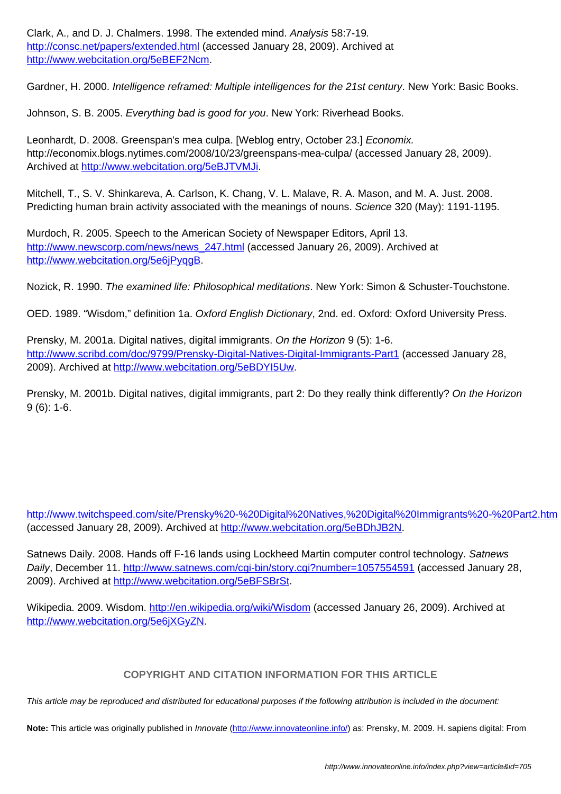Clark, A., and D. J. Chalmers. 1998. The extended mind. Analysis 58:7-19. <http://consc.net/papers/extended.html>(accessed January 28, 2009). Archived at <http://www.webcitation.org/5eBEF2Ncm>.

Gardner, H. 2000. Intelligence reframed: Multiple intelligences for the 21st century. New York: Basic Books.

Johnson, S. B. 2005. Everything bad is good for you. New York: Riverhead Books.

Leonhardt, D. 2008. Greenspan's mea culpa. [Weblog entry, October 23.] Economix. http://economix.blogs.nytimes.com/2008/10/23/greenspans-mea-culpa/ (accessed January 28, 2009). Archived at<http://www.webcitation.org/5eBJTVMJi>.

Mitchell, T., S. V. Shinkareva, A. Carlson, K. Chang, V. L. Malave, R. A. Mason, and M. A. Just. 2008. Predicting human brain activity associated with the meanings of nouns. Science 320 (May): 1191-1195.

Murdoch, R. 2005. Speech to the American Society of Newspaper Editors, April 13. [http://www.newscorp.com/news/news\\_247.html](http://www.newscorp.com/news/news_247.html) (accessed January 26, 2009). Archived at [http://www.webcitation.org/5e6jPyqgB.](http://www.webcitation.org/5e6jPyqgB)

Nozick, R. 1990. The examined life: Philosophical meditations. New York: Simon & Schuster-Touchstone.

OED. 1989. "Wisdom," definition 1a. Oxford English Dictionary, 2nd. ed. Oxford: Oxford University Press.

Prensky, M. 2001a. Digital natives, digital immigrants. On the Horizon 9 (5): 1-6. <http://www.scribd.com/doc/9799/Prensky-Digital-Natives-Digital-Immigrants-Part1>(accessed January 28, 2009). Archived at <http://www.webcitation.org/5eBDYI5Uw>.

Prensky, M. 2001b. Digital natives, digital immigrants, part 2: Do they really think differently? On the Horizon 9 (6): 1-6.

<http://www.twitchspeed.com/site/Prensky%20-%20Digital%20Natives,%20Digital%20Immigrants%20-%20Part2.htm> (accessed January 28, 2009). Archived at<http://www.webcitation.org/5eBDhJB2N>.

Satnews Daily. 2008. Hands off F-16 lands using Lockheed Martin computer control technology. Satnews Daily, December 11.<http://www.satnews.com/cgi-bin/story.cgi?number=1057554591> (accessed January 28, 2009). Archived at <http://www.webcitation.org/5eBFSBrSt>.

Wikipedia. 2009. Wisdom. <http://en.wikipedia.org/wiki/Wisdom>(accessed January 26, 2009). Archived at [http://www.webcitation.org/5e6jXGyZN.](http://www.webcitation.org/5e6jXGyZN)

### **COPYRIGHT AND CITATION INFORMATION FOR THIS ARTICLE**

This article may be reproduced and distributed for educational purposes if the following attribution is included in the document:

Note: This article was originally published in *Innovate* ([http://www.innovateonline.info/\)](http://www.innovateonline.info/) as: Prensky, M. 2009. H. sapiens digital: From